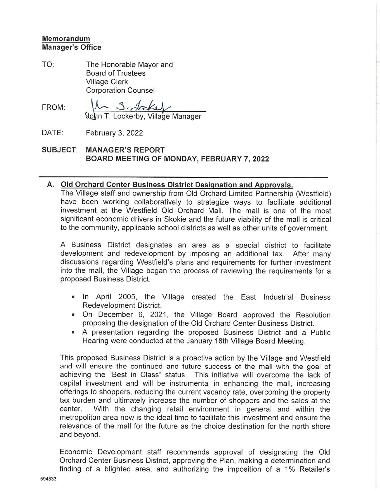## Memorandum Manager's Office

TO: The Honorable Mayor and Board of Trustees Village Clerk Corporation Counsel

FROM:  $10$  J. deckey

in T. Lockerby, Village Manager

DATE: February 3, 2022

SUBJECT: MANAGER'S REPORT BOARD MEETING OF MONDAY, FEBRUARY 7,2022

## A. Old Orchard Center Business District Designation and Approvals.

The Village staff and ownership from Old Orchard Limited Partnership (Westfield) have been working collaboratively to strategize ways to facilitate additional investment at the Westfield Old Orchard Mali. The mall is one of the most significant economic drivers in Skokie and the future viability of the mall is critical to the community, applicable school districts as well as other units of government.

A Business District designates an area as a special district to facilitate development and redevelopment by imposing an additional tax. After many discussions regarding Westfield's plans and requirements for further investment into the mall, the Village began the process of reviewing the requirements for a proposed Business District.

- In April 2005, the Village created the East Industrial Business Redevelopment District.
- On December 6, 2021, the Village Board approved the Resolution proposing the designation of the Old Orchard Center Business District.
- A presentation regarding the proposed Business District and a Public Hearing were conducted at the January 18th Village Board Meeting.

This proposed Business District is a proactive action by the Village and Westfield and will ensure the continued and future success of the mall with the goal of achieving the "Best in Class" status. This initiative will overcome the lack of capital investment and will be instrumental in enhancing the mail, increasing offerings to shoppers, reducing the current vacancy rate, overcoming the property tax burden and ultimately increase the number of shoppers and the sales at the center. With the changing retail environment in general and within the metropolitan area now is the ideal time to facilitate this investment and ensure the relevance of the mall for the future as the choice destination for the north shore and beyond.

Economic Development staff recommends approval of designating the Old Orchard Center Business District, approving the Plan, making a determination and finding of a blighted area, and authorizing the imposition of a 1% Retailer's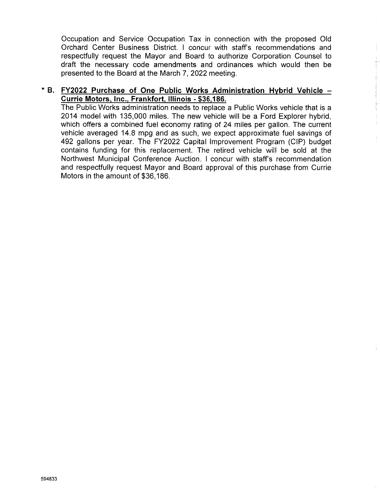Occupation and Service Occupation Tax In connection with the proposed Old Orchard Center Business District. I concur with staff's recommendations and respectfully request the Mayor and Board to authorize Corporation Counsel to draft the necessary code amendments and ordinances which would then be presented to the Board at the March 7, 2022 meeting.

## \* B. FY2022 Purchase of One Public Works Administration Hybrid Vehicle -Currie Motors, Inc., Frankfort, Illinois - \$36,186.

The Public Works administration needs to replace a Public Works vehicle that is a 2014 model with 135,000 miles. The new vehicle wiii be a Ford Explorer hybrid. which offers a combined fuel economy rating of 24 miles per gallon. The current vehicle averaged 14.8 mpg and as such, we expect approximate fuel savings of 492 gallons per year. The FY2022 Capital Improvement Program (CIP) budget contains funding for this replacement. The retired vehicle will be sold at the Northwest Municipal Conference Auction. I concur with staff's recommendation and respectfuiiy request Mayor and Board approval of this purchase from Currie Motors in the amount of \$36,186.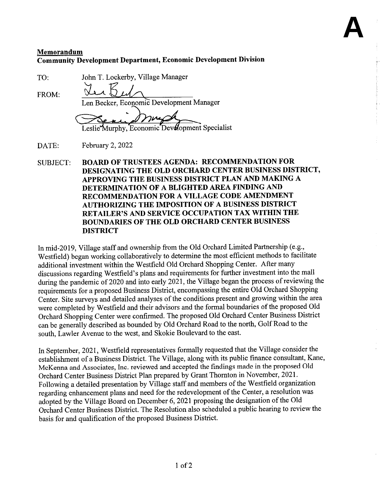## Memorandum Community Development Department, Economic Development Division

**A**

TO:

John T. Lockerby, Village Manager

FROM:

Len Becker, Economic Development Manager

Leslie Murphy, Economic Devolopment Specialist

DATE: February 2, 2022

 $\lambda$ 

SUBJECT: BOARD OF TRUSTEES AGENDA: RECOMMENDATION FOR DESIGNATING THE OLD ORCHARD CENTER BUSINESS DISTRICT, APPROVING THE BUSINESS DISTRICT PLAN AND MAKING A DETERMINATION OF A BLIGHTED AREA FINDING AND RECOMMENDATION FOR A VILLAGE CODE AMENDMENT AUTHORIZING THE IMPOSITION OF A BUSINESS DISTRICT RETAILER'S AND SERVICE OCCUPATION TAX WITHIN THE BOUNDAmES OF THE OLD ORCHARD CENTER BUSINESS DISTRICT

In mid-2019, Village staff and ownership from the Old Orchard Limited Partnership (e.g., Westfield) began working collaboratively to determine the most efficient methods to facilitate additional investment within the Westfield Old Orchard Shopping Center. After many discussions regarding Westfield's plans and requirements for further investment into the mall during the pandemic of 2020 and into early 2021, the Village began the process of reviewing the requirements for a proposed Business District, encompassing the entire Old Orchard Shopping Center. Site surveys and detailed analyses of the conditions present and growing within the area were completed by Westfield and their advisors and the formal boundaries of the proposed Old Orchard Shopping Center were confirmed. The proposed Old Orchard Center Business District can be generally described as bounded by Old Orchard Road to the north, Golf Road to the south, Lawler Avenue to the west, and Skokie Boulevard to the east.

In September, 2021, Westfield representatives formally requested that the Village consider the establishment of a Business District. The Village, along with its public finance consultant, Kane, McKenna and Associates, Inc. reviewed and accepted the findings made in the proposed Old Orchard Center Business District Plan prepared by Grant Thornton in November, 2021. Following a detailed presentation by Village staff and members of the Westfield organization regarding enhancement plans and need for the redevelopment of the Center, a resolution was adopted by the Village Board on December 6, 2021 proposing the designation of the Old Orchard Center Business District. The Resolution also scheduled a public hearing to review the basis for and qualification of the proposed Business District.